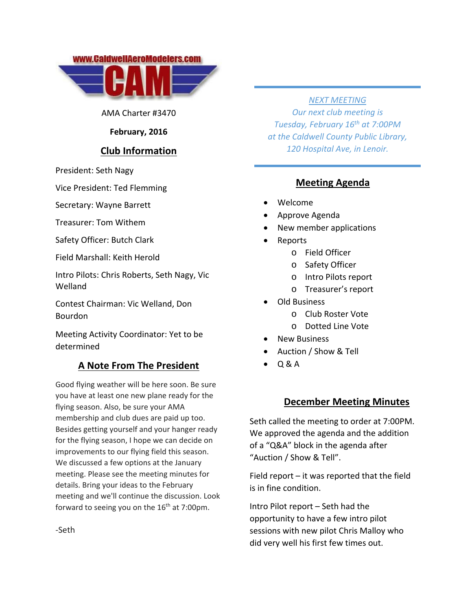



AMA Charter #3470

### **February, 2016**

### **Club Information**

President: Seth Nagy

Vice President: Ted Flemming

Secretary: Wayne Barrett

Treasurer: Tom Withem

Safety Officer: Butch Clark

Field Marshall: Keith Herold

Intro Pilots: Chris Roberts, Seth Nagy, Vic Welland

Contest Chairman: Vic Welland, Don Bourdon

Meeting Activity Coordinator: Yet to be determined

## **A Note From The President**

Good flying weather will be here soon. Be sure you have at least one new plane ready for the flying season. Also, be sure your AMA membership and club dues are paid up too. Besides getting yourself and your hanger ready for the flying season, I hope we can decide on improvements to our flying field this season. We discussed a few options at the January meeting. Please see the meeting minutes for details. Bring your ideas to the February meeting and we'll continue the discussion. Look forward to seeing you on the  $16<sup>th</sup>$  at 7:00pm.

#### *NEXT MEETING*

*Our next club meeting is Tuesday, February 16th at 7:00PM at the Caldwell County Public Library, 120 Hospital Ave, in Lenoir.*

### **Meeting Agenda**

- Welcome
- Approve Agenda
- New member applications
- Reports
	- o Field Officer
		- o Safety Officer
		- o Intro Pilots report
		- o Treasurer's report
- Old Business
	- o Club Roster Vote
	- o Dotted Line Vote
- New Business
- Auction / Show & Tell
- Q & A

### **December Meeting Minutes**

Seth called the meeting to order at 7:00PM. We approved the agenda and the addition of a "Q&A" block in the agenda after "Auction / Show & Tell".

Field report – it was reported that the field is in fine condition.

Intro Pilot report – Seth had the opportunity to have a few intro pilot sessions with new pilot Chris Malloy who did very well his first few times out.

‐Seth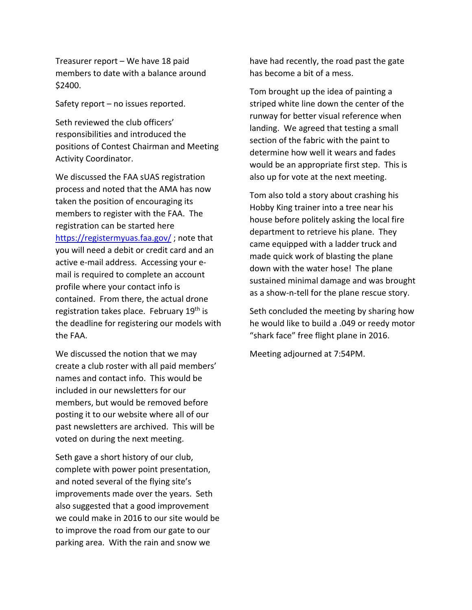Treasurer report – We have 18 paid members to date with a balance around \$2400.

Safety report – no issues reported.

Seth reviewed the club officers' responsibilities and introduced the positions of Contest Chairman and Meeting Activity Coordinator.

We discussed the FAA sUAS registration process and noted that the AMA has now taken the position of encouraging its members to register with the FAA. The registration can be started here https://registermyuas.faa.gov/ ; note that you will need a debit or credit card and an active e‐mail address. Accessing your e‐ mail is required to complete an account profile where your contact info is contained. From there, the actual drone registration takes place. February 19<sup>th</sup> is the deadline for registering our models with the FAA.

We discussed the notion that we may create a club roster with all paid members' names and contact info. This would be included in our newsletters for our members, but would be removed before posting it to our website where all of our past newsletters are archived. This will be voted on during the next meeting.

Seth gave a short history of our club, complete with power point presentation, and noted several of the flying site's improvements made over the years. Seth also suggested that a good improvement we could make in 2016 to our site would be to improve the road from our gate to our parking area. With the rain and snow we

have had recently, the road past the gate has become a bit of a mess.

Tom brought up the idea of painting a striped white line down the center of the runway for better visual reference when landing. We agreed that testing a small section of the fabric with the paint to determine how well it wears and fades would be an appropriate first step. This is also up for vote at the next meeting.

Tom also told a story about crashing his Hobby King trainer into a tree near his house before politely asking the local fire department to retrieve his plane. They came equipped with a ladder truck and made quick work of blasting the plane down with the water hose! The plane sustained minimal damage and was brought as a show‐n‐tell for the plane rescue story.

Seth concluded the meeting by sharing how he would like to build a .049 or reedy motor "shark face" free flight plane in 2016.

Meeting adjourned at 7:54PM.